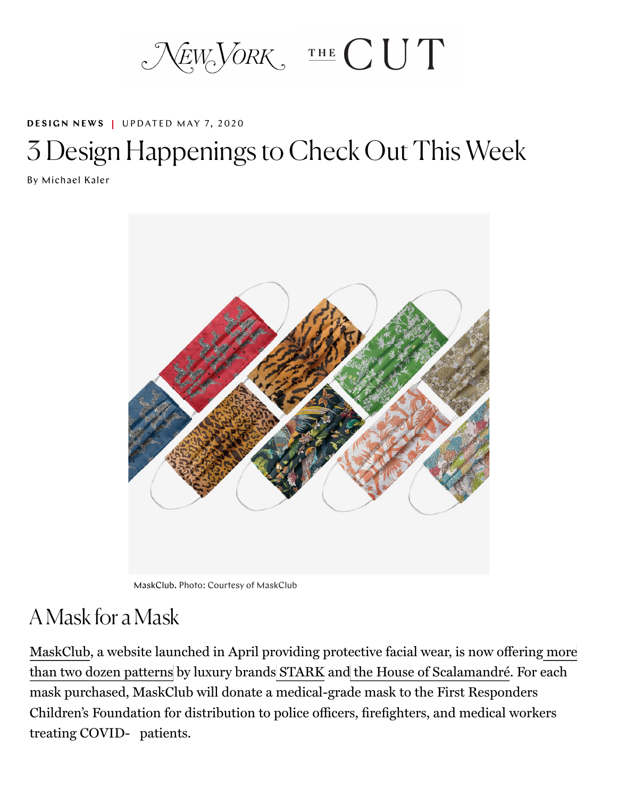$N_{EW}$ VORK, THE CUT

#### **DESIGN NEWS | UPDATED MAY 7, 2020**

# [3 Desig](https://www.thecut.com/tags/design-news/)n Happenings to Check Out This Week

By Michael Kaler



MaskClub. Photo: Courtesy of MaskClub

#### A Mask for a Mask

MaskClub, a website launched in April providing protective facial wear, is now offering more than two dozen patterns by luxury brands STARK and the House of Scalamandré. For each mask purchased, MaskClub will donate a medical-grade mask to the First Responders Children's Foundation for distribution to police officers, firefighters, and medical workers treating COVID- patients.